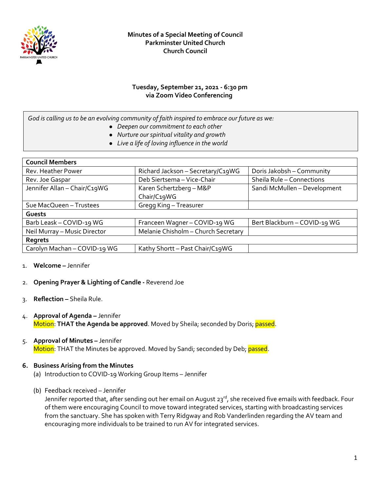

#### **Tuesday, September 21, 2021 - 6:30 pm via Zoom Video Conferencing**

*God is calling us to be an evolving community of faith inspired to embrace our future as we:*

- *Deepen our commitment to each other*
- *Nurture our spiritual vitality and growth*
- *Live a life of loving influence in the world*

| <b>Council Members</b>       |                                        |                              |
|------------------------------|----------------------------------------|------------------------------|
| Rev. Heather Power           | Richard Jackson - Secretary/C19WG      | Doris Jakobsh - Community    |
| Rev. Joe Gaspar              | Deb Siertsema - Vice-Chair             | Sheila Rule - Connections    |
| Jennifer Allan - Chair/C19WG | Karen Schertzberg - M&P<br>Chair/C19WG | Sandi McMullen - Development |
| Sue MacQueen - Trustees      | Gregg King - Treasurer                 |                              |
| Guests                       |                                        |                              |
| Barb Leask - COVID-19 WG     | Franceen Wagner - COVID-19 WG          | Bert Blackburn - COVID-19 WG |
| Neil Murray - Music Director | Melanie Chisholm - Church Secretary    |                              |
| Regrets                      |                                        |                              |
| Carolyn Machan - COVID-19 WG | Kathy Shortt - Past Chair/C19WG        |                              |

- 1. **Welcome –** Jennifer
- 2. **Opening Prayer & Lighting of Candle -** Reverend Joe
- 3. **Reflection –** Sheila Rule.
- 4. **Approval of Agenda –** Jennifer Motion: **THAT the Agenda be approved**. Moved by Sheila; seconded by Doris; passed.
- 5. **Approval of Minutes –** Jennifer Motion: THAT the Minutes be approved. Moved by Sandi; seconded by Deb; passed.

#### **6. Business Arising from the Minutes**

- (a) Introduction to COVID-19 Working Group Items Jennifer
- (b) Feedback received Jennifer

Jennifer reported that, after sending out her email on August 23<sup>rd</sup>, she received five emails with feedback. Four of them were encouraging Council to move toward integrated services, starting with broadcasting services from the sanctuary. She has spoken with Terry Ridgway and Rob Vanderlinden regarding the AV team and encouraging more individuals to be trained to run AV for integrated services.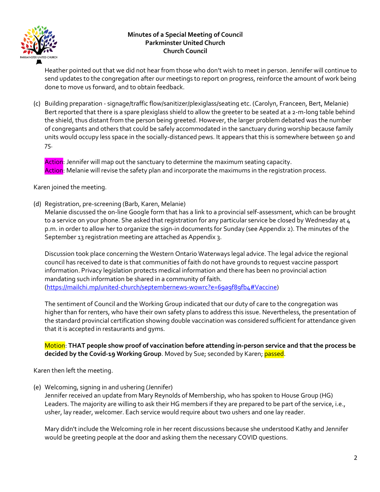

Heather pointed out that we did not hear from those who don't wish to meet in person. Jennifer will continue to send updates to the congregation after our meetings to report on progress, reinforce the amount of work being done to move us forward, and to obtain feedback.

(c) Building preparation - signage/traffic flow/sanitizer/plexiglass/seating etc. (Carolyn, Franceen, Bert, Melanie) Bert reported that there is a spare plexiglass shield to allow the greeter to be seated at a 2-m-long table behind the shield, thus distant from the person being greeted. However, the larger problem debated was the number of congregants and others that could be safely accommodated in the sanctuary during worship because family units would occupy less space in the socially-distanced pews. It appears that this is somewhere between 50 and 75.

Action: Jennifer will map out the sanctuary to determine the maximum seating capacity. Action: Melanie will revise the safety plan and incorporate the maximums in the registration process.

Karen joined the meeting.

(d) Registration, pre-screening (Barb, Karen, Melanie)

Melanie discussed the on-line Google form that has a link to a provincial self-assessment, which can be brought to a service on your phone. She asked that registration for any particular service be closed by Wednesday at 4 p.m. in order to allow her to organize the sign-in documents for Sunday (see Appendix 2). The minutes of the September 13 registration meeting are attached as Appendix 3.

Discussion took place concerning the Western Ontario Waterways legal advice. The legal advice the regional council has received to date is that communities of faith do not have grounds to request vaccine passport information. Privacy legislation protects medical information and there has been no provincial action mandating such information be shared in a community of faith. [\(https://mailchi.mp/united-church/septembernews-wowrc?e=69a9f89fb4#Vaccine\)](about:blank)

The sentiment of Council and the Working Group indicated that our duty of care to the congregation was higher than for renters, who have their own safety plans to address this issue. Nevertheless, the presentation of the standard provincial certification showing double vaccination was considered sufficient for attendance given that it is accepted in restaurants and gyms.

### Motion: **THAT people show proof of vaccination before attending in-person service and that the process be decided by the Covid-19 Working Group**. Moved by Sue; seconded by Karen; passed.

Karen then left the meeting.

(e) Welcoming, signing in and ushering (Jennifer)

Jennifer received an update from Mary Reynolds of Membership, who has spoken to House Group (HG) Leaders. The majority are willing to ask their HG members if they are prepared to be part of the service, i.e., usher, lay reader, welcomer. Each service would require about two ushers and one lay reader.

Mary didn't include the Welcoming role in her recent discussions because she understood Kathy and Jennifer would be greeting people at the door and asking them the necessary COVID questions.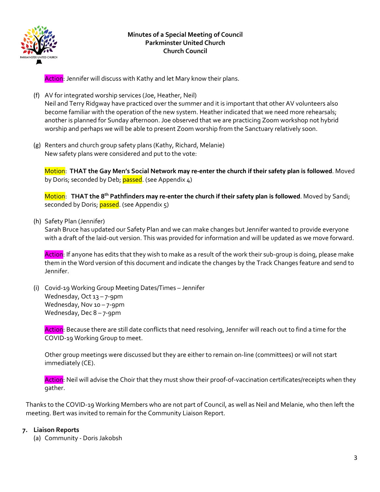

Action: Jennifer will discuss with Kathy and let Mary know their plans.

- (f) AV for integrated worship services (Joe, Heather, Neil) Neil and Terry Ridgway have practiced over the summer and it is important that other AV volunteers also become familiar with the operation of the new system. Heather indicated that we need more rehearsals; another is planned for Sunday afternoon. Joe observed that we are practicing Zoom workshop not hybrid worship and perhaps we will be able to present Zoom worship from the Sanctuary relatively soon.
- (g) Renters and church group safety plans (Kathy, Richard, Melanie) New safety plans were considered and put to the vote:

Motion: **THAT the Gay Men's Social Network may re-enter the church if their safety plan is followed**. Moved by Doris; seconded by Deb; passed. (see Appendix 4)

Motion: **THAT the 8th Pathfinders may re-enter the church if their safety plan is followed**. Moved by Sandi; seconded by Doris; passed. (see Appendix 5)

(h) Safety Plan (Jennifer)

Sarah Bruce has updated our Safety Plan and we can make changes but Jennifer wanted to provide everyone with a draft of the laid-out version. This was provided for information and will be updated as we move forward.

Action: If anyone has edits that they wish to make as a result of the work their sub-group is doing, please make them in the Word version of this document and indicate the changes by the Track Changes feature and send to Jennifer.

(i) Covid-19 Working Group Meeting Dates/Times – Jennifer Wednesday, Oct 13 - 7-9pm Wednesday, Nov 10-7-9pm Wednesday, Dec 8 – 7-9pm

Action: Because there are still date conflicts that need resolving, Jennifer will reach out to find a time for the COVID-19 Working Group to meet.

Other group meetings were discussed but they are either to remain on-line (committees) or will not start immediately (CE).

Action: Neil will advise the Choir that they must show their proof-of-vaccination certificates/receipts when they gather.

Thanks to the COVID-19 Working Members who are not part of Council, as well as Neil and Melanie, who then left the meeting. Bert was invited to remain for the Community Liaison Report.

## **7. Liaison Reports**

(a) Community - Doris Jakobsh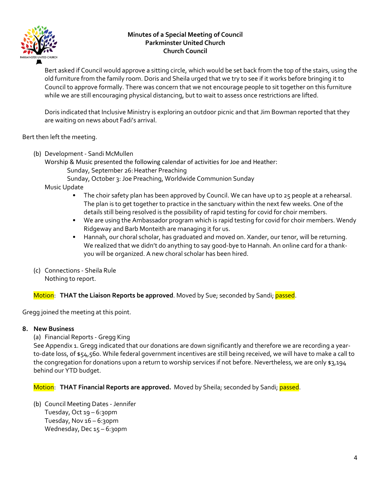

Bert asked if Council would approve a sitting circle, which would be set back from the top of the stairs, using the old furniture from the family room. Doris and Sheila urged that we try to see if it works before bringing it to Council to approve formally. There was concern that we not encourage people to sit together on this furniture while we are still encouraging physical distancing, but to wait to assess once restrictions are lifted.

Doris indicated that Inclusive Ministry is exploring an outdoor picnic and that Jim Bowman reported that they are waiting on news about Fadi's arrival.

Bert then left the meeting.

- (b) Development Sandi McMullen
	- Worship & Music presented the following calendar of activities for Joe and Heather: Sunday, September 26:Heather Preaching

Sunday, October 3: Joe Preaching, Worldwide Communion Sunday

Music Update

- The choir safety plan has been approved by Council. We can have up to 25 people at a rehearsal. The plan is to get together to practice in the sanctuary within the next few weeks. One of the details still being resolved is the possibility of rapid testing for covid for choir members.
- We are using the Ambassador program which is rapid testing for covid for choir members. Wendy Ridgeway and Barb Monteith are managing it for us.
- Hannah, our choral scholar, has graduated and moved on. Xander, our tenor, will be returning. We realized that we didn't do anything to say good-bye to Hannah. An online card for a thankyou will be organized. A new choral scholar has been hired.

(c) Connections - Sheila Rule Nothing to report.

Motion: **THAT the Liaison Reports be approved**. Moved by Sue; seconded by Sandi; passed.

Gregg joined the meeting at this point.

#### **8. New Business**

(a) Financial Reports - Gregg King

See Appendix 1. Gregg indicated that our donations are down significantly and therefore we are recording a yearto-date loss, of \$54,560. While federal government incentives are still being received, we will have to make a call to the congregation for donations upon a return to worship services if not before. Nevertheless, we are only \$3,194 behind our YTD budget.

Motion: **THAT Financial Reports are approved.** Moved by Sheila; seconded by Sandi; passed.

(b) Council Meeting Dates - Jennifer Tuesday, Oct 19 – 6:30pm Tuesday, Nov  $16 - 6:30$ pm Wednesday, Dec 15 - 6:30pm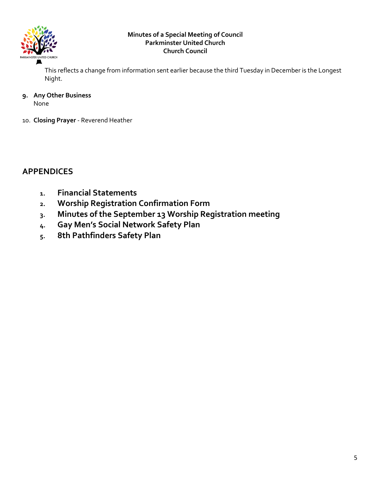

This reflects a change from information sent earlier because the third Tuesday in December is the Longest Night.

**9. Any Other Business** 

None

10. **Closing Prayer** - Reverend Heather

# **APPENDICES**

- **1. Financial Statements**
- **2. Worship Registration Confirmation Form**
- **3. Minutes of the September 13 Worship Registration meeting**
- **4. Gay Men's Social Network Safety Plan**
- **5. 8th Pathfinders Safety Plan**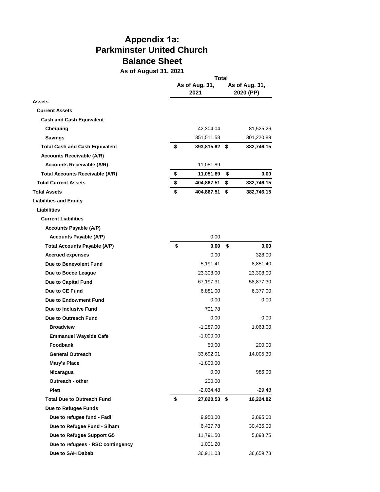# **Appendix 1a: Parkminster United Church Balance Sheet**

**As of August 31, 2021**

|                                        | Total |                        |                             |            |  |  |
|----------------------------------------|-------|------------------------|-----------------------------|------------|--|--|
|                                        |       | As of Aug. 31,<br>2021 | As of Aug. 31,<br>2020 (PP) |            |  |  |
| Assets                                 |       |                        |                             |            |  |  |
| <b>Current Assets</b>                  |       |                        |                             |            |  |  |
| <b>Cash and Cash Equivalent</b>        |       |                        |                             |            |  |  |
| Chequing                               |       | 42,304.04              |                             | 81,525.26  |  |  |
| <b>Savings</b>                         |       | 351,511.58             |                             | 301,220.89 |  |  |
| <b>Total Cash and Cash Equivalent</b>  | \$    | 393,815.62 \$          |                             | 382,746.15 |  |  |
| <b>Accounts Receivable (A/R)</b>       |       |                        |                             |            |  |  |
| <b>Accounts Receivable (A/R)</b>       |       | 11,051.89              |                             |            |  |  |
| <b>Total Accounts Receivable (A/R)</b> | \$    | 11,051.89              | \$                          | 0.00       |  |  |
| <b>Total Current Assets</b>            | \$    | 404,867.51             | \$                          | 382,746.15 |  |  |
| <b>Total Assets</b>                    | \$    | 404,867.51             | \$                          | 382,746.15 |  |  |
| <b>Liabilities and Equity</b>          |       |                        |                             |            |  |  |
| <b>Liabilities</b>                     |       |                        |                             |            |  |  |
| <b>Current Liabilities</b>             |       |                        |                             |            |  |  |
| <b>Accounts Payable (A/P)</b>          |       |                        |                             |            |  |  |
| <b>Accounts Payable (A/P)</b>          |       | 0.00                   |                             |            |  |  |
| <b>Total Accounts Payable (A/P)</b>    | \$    | 0.00                   | \$                          | 0.00       |  |  |
| <b>Accrued expenses</b>                |       | 0.00                   |                             | 328.00     |  |  |
| Due to Benevolent Fund                 |       | 5,191.41               |                             | 8,851.40   |  |  |
| Due to Bocce League                    |       | 23,308.00              |                             | 23,308.00  |  |  |
| Due to Capital Fund                    |       | 67,197.31              |                             | 58,877.30  |  |  |
| Due to CE Fund                         |       | 6,881.00               |                             | 6,377.00   |  |  |
| Due to Endowment Fund                  |       | 0.00                   |                             | 0.00       |  |  |
| Due to Inclusive Fund                  |       | 701.78                 |                             |            |  |  |
| Due to Outreach Fund                   |       | 0.00                   |                             | 0.00       |  |  |
| <b>Broadview</b>                       |       | -1,287.00              |                             | 1,063.00   |  |  |
| <b>Emmanuel Wayside Cafe</b>           |       | $-1,000.00$            |                             |            |  |  |
| Foodbank                               |       | 50.00                  |                             | 200.00     |  |  |
| <b>General Outreach</b>                |       | 33,692.01              |                             | 14,005.30  |  |  |
| Mary's Place                           |       | -1,800.00              |                             |            |  |  |
| Nicaragua                              |       | 0.00                   |                             | 986.00     |  |  |
| Outreach - other                       |       | 200.00                 |                             |            |  |  |
| <b>Plett</b>                           |       | $-2,034.48$            |                             | -29.48     |  |  |
| <b>Total Due to Outreach Fund</b>      | \$    | 27,820.53 \$           |                             | 16,224.82  |  |  |
| Due to Refugee Funds                   |       |                        |                             |            |  |  |
| Due to refugee fund - Fadi             |       | 9,950.00               |                             | 2,895.00   |  |  |
| Due to Refugee Fund - Siham            |       | 6,437.78               |                             | 30,436.00  |  |  |
| Due to Refugee Support G5              |       | 11,791.50              |                             | 5,898.75   |  |  |
| Due to refugees - RSC contingency      |       | 1,001.20               |                             |            |  |  |
| Due to SAH Dabab                       |       | 36,911.03              |                             | 36,659.78  |  |  |
|                                        |       |                        |                             |            |  |  |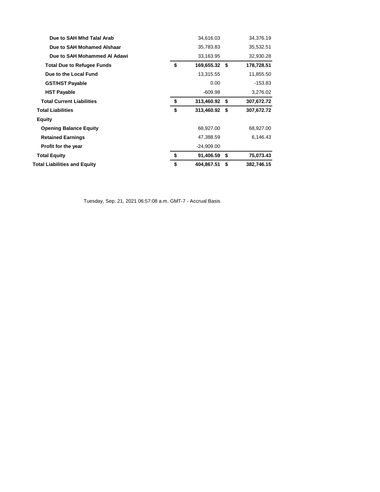| Due to SAH Mhd Talal Arab           | 34,616.03           | 34,376.19        |
|-------------------------------------|---------------------|------------------|
| Due to SAH Mohamed Alshaar          | 35,783.83           | 35,532.51        |
| Due to SAH Mohammed Al Adawi        | 33,163.95           | 32,930.28        |
| <b>Total Due to Refugee Funds</b>   | \$<br>169,655.32 \$ | 178,728.51       |
| Due to the Local Fund               | 13,315.55           | 11,855.50        |
| <b>GST/HST Payable</b>              | 0.00                | $-153.83$        |
| <b>HST Payable</b>                  | -609.98             | 3,276.02         |
| <b>Total Current Liabilities</b>    | \$<br>313,460.92 \$ | 307,672.72       |
| <b>Total Liabilities</b>            | \$<br>313,460.92 \$ | 307,672.72       |
| <b>Equity</b>                       |                     |                  |
| <b>Opening Balance Equity</b>       | 68,927.00           | 68,927.00        |
| <b>Retained Earnings</b>            | 47,388.59           | 6,146.43         |
| Profit for the year                 | $-24,909.00$        |                  |
| <b>Total Equity</b>                 | \$<br>91,406.59 \$  | 75,073.43        |
| <b>Total Liabilities and Equity</b> | \$<br>404,867.51    | \$<br>382,746.15 |
|                                     |                     |                  |

Tuesday, Sep. 21, 2021 06:57:08 a.m. GMT-7 - Accrual Basis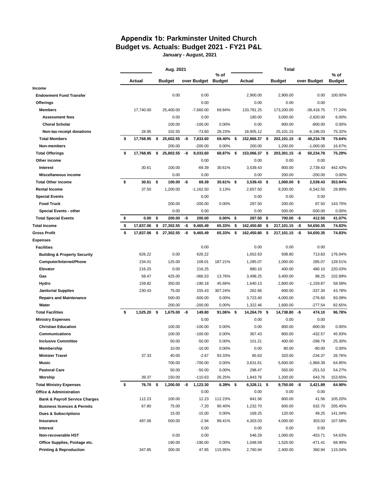### **Appendix 1b: Parkminster United Church Budget vs. Actuals: Budget 2021 - FY21 P&L**

**January - August, 2021**

|                                           | Aug. 2021       |    | % of          |     |                    |             | Total | $%$ of        |      |                |     |              |               |
|-------------------------------------------|-----------------|----|---------------|-----|--------------------|-------------|-------|---------------|------|----------------|-----|--------------|---------------|
|                                           | Actual          |    | <b>Budget</b> |     | over Budget Budget |             |       | Actual        |      | <b>Budget</b>  |     | over Budget  | <b>Budget</b> |
| Income                                    |                 |    |               |     |                    |             |       |               |      |                |     |              |               |
| <b>Endowment Fund Transfer</b>            |                 |    | 0.00          |     | 0.00               |             |       | 2,900.00      |      | 2,900.00       |     | 0.00         | 100.00%       |
| <b>Offerings</b>                          |                 |    |               |     | 0.00               |             |       | 0.00          |      | 0.00           |     | 0.00         |               |
| <b>Members</b>                            | 17,740.00       |    | 25,400.00     |     | $-7,660.00$        | 69.84%      |       | 133,781.25    |      | 173,200.00     |     | $-39,418.75$ | 77.24%        |
| <b>Assessment fees</b>                    |                 |    | 0.00          |     | 0.00               |             |       | 180.00        |      | 3,000.00       |     | $-2,820.00$  | 6.00%         |
| <b>Choral Scholar</b>                     |                 |    | 100.00        |     | $-100.00$          | 0.00%       |       | 0.00          |      | 800.00         |     | $-800.00$    | 0.00%         |
| Non-tax-receipt donations                 | 28.95           |    | 102.55        |     | $-73.60$           | 28.23%      |       | 18,905.12     |      | 25,101.15      |     | $-6, 196.03$ | 75.32%        |
| <b>Total Members</b>                      | \$<br>17,768.95 | \$ | 25,602.55     | -\$ | 7,833.60           | 69.40%      | \$    | 152,866.37    | - \$ | 202,101.15     | -\$ | 49,234.78    | 75.64%        |
| Non-members                               |                 |    | 200.00        |     | $-200.00$          | 0.00%       |       | 200.00        |      | 1,200.00       |     | $-1,000.00$  | 16.67%        |
| <b>Total Offerings</b>                    | \$<br>17,768.95 | \$ | 25,802.55     | -\$ | 8,033.60           | 68.87%      | \$    | 153,066.37 \$ |      | 203,301.15     | -\$ | 50,234.78    | 75.29%        |
| Other income                              |                 |    |               |     | 0.00               |             |       | 0.00          |      | 0.00           |     | 0.00         |               |
| <b>Interest</b>                           | 30.61           |    | 100.00        |     | $-69.39$           | 30.61%      |       | 3,539.43      |      | 800.00         |     | 2,739.43     | 442.43%       |
| Miscellaneous income                      |                 |    | 0.00          |     | 0.00               |             |       | 0.00          |      | 200.00         |     | $-200.00$    | 0.00%         |
| <b>Total Other income</b>                 | \$<br>30.61     | \$ | 100.00        | -\$ | 69.39              | 30.61%      | \$    | $3,539.43$ \$ |      | 1,000.00       | \$  | 2,539.43     | 353.94%       |
| <b>Rental Income</b>                      | 37.50           |    | 1,200.00      |     | $-1,162.50$        | 3.13%       |       | 2,657.50      |      | 9,200.00       |     | $-6,542.50$  | 28.89%        |
| <b>Special Events</b>                     |                 |    |               |     | 0.00               |             |       | 0.00          |      | 0.00           |     | 0.00         |               |
| <b>Food Truck</b>                         |                 |    | 200.00        |     | $-200.00$          | 0.00%       |       | 287.50        |      | 200.00         |     | 87.50        | 143.75%       |
| <b>Special Events - other</b>             |                 |    | 0.00          |     | 0.00               |             |       | 0.00          |      | 500.00         |     | $-500.00$    | 0.00%         |
| <b>Total Special Events</b>               | \$<br>0.00      | \$ | 200.00        | -\$ | 200.00             | $0.00\%$    | \$    | 287.50 \$     |      | 700.00         | -\$ | 412.50       | 41.07%        |
| Total Income                              | \$<br>17,837.06 | \$ | 27,302.55     | -\$ | 9,465.49           | 65.33%      | \$    | 162,450.80    | \$   | 217,101.15     | -\$ | 54,650.35    | 74.83%        |
| <b>Gross Profit</b>                       | \$<br>17,837.06 | \$ | 27,302.55     | -\$ | 9,465.49           | 65.33%      | \$    | 162,450.80    | \$   | 217,101.15     | -\$ | 54,650.35    | 74.83%        |
| Expenses                                  |                 |    |               |     |                    |             |       |               |      |                |     |              |               |
| <b>Facilities</b>                         |                 |    |               |     | 0.00               |             |       | 0.00          |      | 0.00           |     | 0.00         |               |
| <b>Building &amp; Property Security</b>   | 626.22          |    | 0.00          |     | 626.22             |             |       | 1,652.63      |      | 938.80         |     | 713.83       | 176.04%       |
| Computer/Internet/Phone                   | 234.01          |    | 125.00        |     | 109.01             | 187.21%     |       | 1,285.07      |      | 1,000.00       |     | 285.07       | 128.51%       |
| Elevator                                  | 216.25          |    | 0.00          |     | 216.25             |             |       | 880.10        |      | 400.00         |     | 480.10       | 220.03%       |
| Gas                                       | 58.47           |    | 425.00        |     | $-366.53$          | 13.76%      |       | 3,498.25      |      | 3,400.00       |     | 98.25        | 102.89%       |
| Hydro                                     | 159.82          |    | 350.00        |     | $-190.18$          | 45.66%      |       | 1,640.13      |      | 2,800.00       |     | $-1,159.87$  | 58.58%        |
| <b>Janitorial Supplies</b>                | 230.43          |    | 75.00         |     | 155.43             | 307.24%     |       | 262.66        |      | 600.00         |     | $-337.34$    | 43.78%        |
| <b>Repairs and Maintenance</b>            |                 |    | 500.00        |     | $-500.00$          | 0.00%       |       | 3,723.40      |      | 4,000.00       |     | $-276.60$    | 93.09%        |
| Water                                     |                 |    | 200.00        |     | $-200.00$          | 0.00%       |       | 1,322.46      |      | 1,600.00       |     | $-277.54$    | 82.65%        |
| <b>Total Facilities</b>                   | \$<br>1,525.20  | \$ | 1,675.00      | -\$ | 149.80             | 91.06%      | -\$   | 14,264.70 \$  |      | 14,738.80      | -\$ | 474.10       | 96.78%        |
| <b>Ministry Expenses</b>                  |                 |    |               |     | 0.00               |             |       | 0.00          |      | 0.00           |     | 0.00         |               |
| <b>Christian Education</b>                |                 |    | 100.00        |     | $-100.00$          | 0.00%       |       | 0.00          |      | 800.00         |     | $-800.00$    | 0.00%         |
| Communications                            |                 |    | 100.00        |     | $-100.00$          | 0.00%       |       | 367.43        |      | 800.00         |     | $-432.57$    | 45.93%        |
| <b>Inclusive Committee</b>                |                 |    | 50.00         |     | $-50.00$           | 0.00%       |       | 101.21        |      | 400.00         |     | $-298.79$    | 25.30%        |
| Membership                                |                 |    | 10.00         |     | $-10.00$           | 0.00%       |       | 0.00          |      | 80.00          |     | $-80.00$     | 0.00%         |
| <b>Minister Travel</b>                    | 37.33           |    | 40.00         |     | $-2.67$            | 93.33%      |       | 85.63         |      | 320.00         |     | $-234.37$    | 26.76%        |
| Music                                     |                 |    | 700.00        |     | $-700.00$          | 0.00%       |       | 3,631.61      |      | 5,600.00       |     | $-1,968.39$  | 64.85%        |
| <b>Pastoral Care</b>                      |                 |    | 50.00         |     | $-50.00$           | 0.00%       |       | 298.47        |      | 550.00         |     | $-251.53$    | 54.27%        |
| Worship                                   | 39.37           |    | 150.00        |     | $-110.63$          | 26.25%      |       | 1,843.76      |      | 1,200.00       |     | 643.76       | 153.65%       |
| <b>Total Ministry Expenses</b>            | \$<br>76.70     | \$ | 1,200.00      | -\$ | 1,123.30           | $6.39\%$ \$ |       | 6,328.11 \$   |      | $9,750.00 - $$ |     | 3,421.89     | 64.90%        |
| <b>Office &amp; Administration</b>        |                 |    |               |     | 0.00               |             |       | 0.00          |      | 0.00           |     | 0.00         |               |
| <b>Bank &amp; Payroll Service Charges</b> | 112.23          |    | 100.00        |     | 12.23              | 112.23%     |       | 841.56        |      | 800.00         |     | 41.56        | 105.20%       |
| <b>Business licences &amp; Permits</b>    | 67.80           |    | 75.00         |     | $-7.20$            | 90.40%      |       | 1,232.70      |      | 600.00         |     | 632.70       | 205.45%       |
|                                           |                 |    |               |     |                    |             |       |               |      |                |     |              |               |
| <b>Dues &amp; Subscriptions</b>           |                 |    | 15.00         |     | $-15.00$           | 0.00%       |       | 169.25        |      | 120.00         |     | 49.25        | 141.04%       |
| Insurance                                 | 497.06          |    | 500.00        |     | $-2.94$            | 99.41%      |       | 4,303.03      |      | 4,000.00       |     | 303.03       | 107.58%       |
| Interest                                  |                 |    |               |     | 0.00               |             |       | 0.00          |      | 0.00           |     | 0.00         |               |
| Non-recoverable HST                       |                 |    | 0.00          |     | 0.00               |             |       | 546.29        |      | 1,000.00       |     | $-453.71$    | 54.63%        |
| Office Supplies, Postage etc.             |                 |    | 190.00        |     | $-190.00$          | 0.00%       |       | 1,048.59      |      | 1,520.00       |     | $-471.41$    | 68.99%        |
| <b>Printing &amp; Reproduction</b>        | 347.85          |    | 300.00        |     | 47.85              | 115.95%     |       | 2,760.94      |      | 2,400.00       |     | 360.94       | 115.04%       |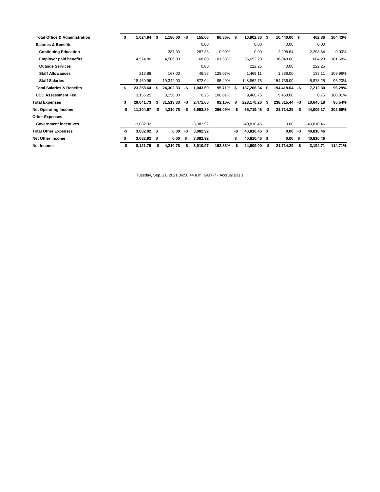| <b>Total Office &amp; Administration</b> | \$  | 1,024.94    | \$   | 1,180.00  | -\$ | 155.06      | 86.86%    | S.  | 10,902.36     | - \$ | 10,440.00 \$ |      | 462.36       | 104.43% |
|------------------------------------------|-----|-------------|------|-----------|-----|-------------|-----------|-----|---------------|------|--------------|------|--------------|---------|
| <b>Salaries &amp; Benefits</b>           |     |             |      |           |     | 0.00        |           |     | 0.00          |      | 0.00         |      | 0.00         |         |
| <b>Continuing Education</b>              |     |             |      | 287.33    |     | $-287.33$   | 0.00%     |     | 0.00          |      | 2,298.64     |      | $-2,298.64$  | 0.00%   |
| <b>Employer paid benefits</b>            |     | 4,574.80    |      | 4,506.00  |     | 68.80       | 101.53%   |     | 36,652.23     |      | 36,048.00    |      | 604.23       | 101.68% |
| <b>Outside Services</b>                  |     |             |      |           |     | 0.00        |           |     | 222.25        |      | 0.00         |      | 222.25       |         |
| <b>Staff Allowances</b>                  |     | 213.88      |      | 167.00    |     | 46.88       | 128.07%   |     | 1,469.11      |      | 1,336.00     |      | 133.11       | 109.96% |
| <b>Staff Salaries</b>                    |     | 18,469.96   |      | 19,342.00 |     | $-872.04$   | 95.49%    |     | 148,862.75    |      | 154,736.00   |      | $-5,873.25$  | 96.20%  |
| <b>Total Salaries &amp; Benefits</b>     |     | 23,258.64   | \$   | 24,302.33 | -\$ | 1,043.69    | 95.71% \$ |     | 187,206.34 \$ |      | 194,418.64   | -\$  | 7,212.30     | 96.29%  |
| <b>UCC Assessment Fee</b>                |     | 3,156.25    |      | 3,156.00  |     | 0.25        | 100.01%   |     | 9,468.75      |      | 9,468.00     |      | 0.75         | 100.01% |
| <b>Total Expenses</b>                    |     | 29,041.73   | \$   | 31,513.33 | -\$ | 2,471.60    | 92.16%    | -S  | 228,170.26    | - S  | 238,815.44   | -\$  | 10,645.18    | 95.54%  |
| <b>Net Operating Income</b>              | -\$ | 11,204.67   | -\$  | 4,210.78  | -\$ | 6,993.89    | 266.09%   | -\$ | 65,719.46     | -\$  | 21,714.29    | -\$  | 44,005.17    | 302.66% |
| <b>Other Expenses</b>                    |     |             |      |           |     |             |           |     |               |      |              |      |              |         |
| <b>Government incentives</b>             |     | $-3,082.92$ |      |           |     | $-3,082.92$ |           |     | -40,810.46    |      | 0.00         |      | $-40,810.46$ |         |
| <b>Total Other Expenses</b>              | -\$ | 3,082.92    | - \$ | 0.00      | -\$ | 3,082.92    |           | -\$ | 40,810.46 \$  |      | 0.00         | -\$  | 40,810.46    |         |
| <b>Net Other Income</b>                  |     | 3,082.92    | - \$ | 0.00      | S   | 3,082.92    |           | \$  | 40,810.46 \$  |      | 0.00         | - \$ | 40,810.46    |         |
| Net Income                               | -\$ | 8,121.75    | -\$  | 4,210.78  | -\$ | 3,910.97    | 192.88%   | -\$ | 24,909.00     | -\$  | 21,714.29    | -\$  | 3,194.71     | 114.71% |

Tuesday, Sep. 21, 2021 06:58:44 a.m. GMT-7 - Accrual Basis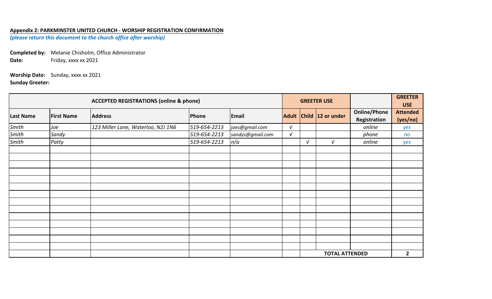## **Appendix 2: PARKMINSTER UNITED CHURCH - WORSHIP REGISTRATION CONFIRMATION**

*(please return this document to the church office after worship)*

**Completed by:** Melanie Chisholm, Office Administrator Date: Friday, xxxx xx 2021

**Worship Date:** Sunday, xxxx xx 2021 **Sunday Greeter:**

| <b>ACCEPTED REGISTRATIONS (online &amp; phone)</b> |                   |                                    |              |                  |            |            | <b>GREETER USE</b>      |                                     | <b>GREETER</b><br><b>USE</b> |
|----------------------------------------------------|-------------------|------------------------------------|--------------|------------------|------------|------------|-------------------------|-------------------------------------|------------------------------|
| <b>Last Name</b>                                   | <b>First Name</b> | <b>Address</b>                     | Phone        | Email            |            |            | Adult Child 12 or under | <b>Online/Phone</b><br>Registration | <b>Attended</b><br>(yes/no)  |
| Smith                                              | Joe               | 123 Miller Lane, Waterloo, N2J 1N6 | 519-654-2213 | joes@gmail.com   | $\sqrt{ }$ |            |                         | online                              | yes                          |
| Smith                                              | Sandy             |                                    | 519-654-2213 | sandys@gmail.com | $\sqrt{ }$ |            |                         | phone                               | n <sub>O</sub>               |
| Smith                                              | Patty             |                                    | 519-654-2213 | n/a              |            | $\sqrt{ }$ | $\sqrt{ }$              | online                              | yes                          |
|                                                    |                   |                                    |              |                  |            |            |                         |                                     |                              |
|                                                    |                   |                                    |              |                  |            |            |                         |                                     |                              |
|                                                    |                   |                                    |              |                  |            |            |                         |                                     |                              |
|                                                    |                   |                                    |              |                  |            |            |                         |                                     |                              |
|                                                    |                   |                                    |              |                  |            |            |                         |                                     |                              |
|                                                    |                   |                                    |              |                  |            |            |                         |                                     |                              |
|                                                    |                   |                                    |              |                  |            |            |                         |                                     |                              |
|                                                    |                   |                                    |              |                  |            |            |                         |                                     |                              |
|                                                    |                   |                                    |              |                  |            |            |                         |                                     |                              |
|                                                    |                   |                                    |              |                  |            |            |                         |                                     |                              |
|                                                    |                   |                                    |              |                  |            |            |                         |                                     |                              |
|                                                    |                   |                                    |              |                  |            |            |                         |                                     |                              |
|                                                    |                   |                                    |              |                  |            |            |                         |                                     |                              |
|                                                    |                   |                                    |              |                  |            |            |                         |                                     |                              |
|                                                    |                   |                                    |              |                  |            |            | <b>TOTAL ATTENDED</b>   |                                     | $\overline{\mathbf{2}}$      |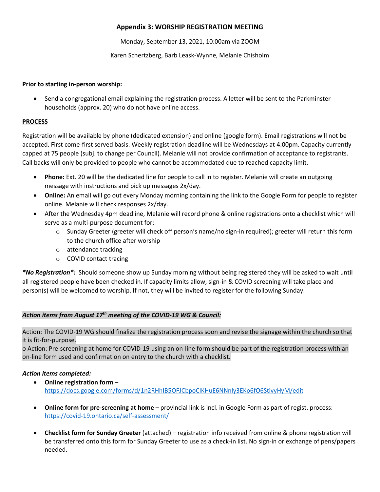### **Appendix 3: WORSHIP REGISTRATION MEETING**

Monday, September 13, 2021, 10:00am via ZOOM

Karen Schertzberg, Barb Leask-Wynne, Melanie Chisholm

#### **Prior to starting in-person worship:**

• Send a congregational email explaining the registration process. A letter will be sent to the Parkminster households (approx. 20) who do not have online access.

#### **PROCESS**

Registration will be available by phone (dedicated extension) and online (google form). Email registrations will not be accepted. First come-first served basis. Weekly registration deadline will be Wednesdays at 4:00pm. Capacity currently capped at 75 people (subj. to change per Council). Melanie will not provide confirmation of acceptance to registrants. Call backs will only be provided to people who cannot be accommodated due to reached capacity limit.

- **Phone:** Ext. 20 will be the dedicated line for people to call in to register. Melanie will create an outgoing message with instructions and pick up messages 2x/day.
- **Online:** An email will go out every Monday morning containing the link to the Google Form for people to register online. Melanie will check responses 2x/day.
- After the Wednesday 4pm deadline, Melanie will record phone & online registrations onto a checklist which will serve as a multi-purpose document for:
	- o Sunday Greeter (greeter will check off person's name/no sign-in required); greeter will return this form to the church office after worship
	- o attendance tracking
	- o COVID contact tracing

*\*No Registration\*:* Should someone show up Sunday morning without being registered they will be asked to wait until all registered people have been checked in. If capacity limits allow, sign-in & COVID screening will take place and person(s) will be welcomed to worship. If not, they will be invited to register for the following Sunday.

## *Action items from August 17th meeting of the COVID-19 WG & Council:*

Action: The COVID-19 WG should finalize the registration process soon and revise the signage within the church so that it is fit-for-purpose.

o Action: Pre-screening at home for COVID-19 using an on-line form should be part of the registration process with an on-line form used and confirmation on entry to the church with a checklist.

#### *Action items completed:*

- **Online registration form** https://docs.google.com/forms/d/1n2RHhIB5OFJCbpoClKHuE6NNnly3EKo6fO6StivyHyM/edit
- **Online form for pre-screening at home** provincial link is incl. in Google Form as part of regist. process: https://covid-19.ontario.ca/self-assessment/
- **Checklist form for Sunday Greeter** (attached) registration info received from online & phone registration will be transferred onto this form for Sunday Greeter to use as a check-in list. No sign-in or exchange of pens/papers needed.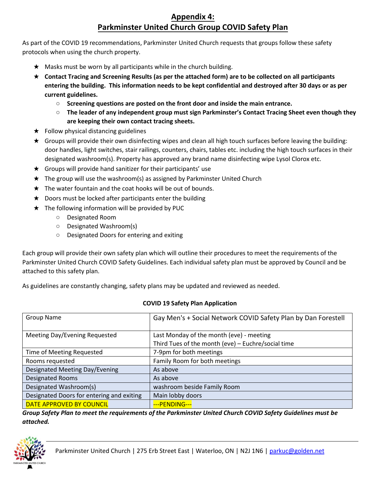# **Appendix 4: Parkminster United Church Group COVID Safety Plan**

As part of the COVID 19 recommendations, Parkminster United Church requests that groups follow these safety protocols when using the church property.

- $\star$  Masks must be worn by all participants while in the church building.
- ★ **Contact Tracing and Screening Results (as per the attached form) are to be collected on all participants entering the building. This information needs to be kept confidential and destroyed after 30 days or as per current guidelines.**
	- **Screening questions are posted on the front door and inside the main entrance.**
	- **The leader of any independent group must sign Parkminster's Contact Tracing Sheet even though they are keeping their own contact tracing sheets.**
- $\star$  Follow physical distancing guidelines
- ★ Groups will provide their own disinfecting wipes and clean all high touch surfaces before leaving the building: door handles, light switches, stair railings, counters, chairs, tables etc. including the high touch surfaces in their designated washroom(s). Property has approved any brand name disinfecting wipe Lysol Clorox etc.
- $\star$  Groups will provide hand sanitizer for their participants' use
- ★ The group will use the washroom(s) as assigned by Parkminster United Church
- $\star$  The water fountain and the coat hooks will be out of bounds.
- $\star$  Doors must be locked after participants enter the building
- ★ The following information will be provided by PUC
	- Designated Room
	- Designated Washroom(s)
	- Designated Doors for entering and exiting

Each group will provide their own safety plan which will outline their procedures to meet the requirements of the Parkminster United Church COVID Safety Guidelines. Each individual safety plan must be approved by Council and be attached to this safety plan.

As guidelines are constantly changing, safety plans may be updated and reviewed as needed.

| <b>Group Name</b>                         | Gay Men's + Social Network COVID Safety Plan by Dan Forestell |  |  |  |  |
|-------------------------------------------|---------------------------------------------------------------|--|--|--|--|
|                                           |                                                               |  |  |  |  |
| Meeting Day/Evening Requested             | Last Monday of the month (eve) - meeting                      |  |  |  |  |
|                                           | Third Tues of the month (eve) - Euchre/social time            |  |  |  |  |
| Time of Meeting Requested                 | 7-9pm for both meetings                                       |  |  |  |  |
| Rooms requested                           | Family Room for both meetings                                 |  |  |  |  |
| Designated Meeting Day/Evening            | As above                                                      |  |  |  |  |
| Designated Rooms                          | As above                                                      |  |  |  |  |
| Designated Washroom(s)                    | washroom beside Family Room                                   |  |  |  |  |
| Designated Doors for entering and exiting | Main lobby doors                                              |  |  |  |  |
| DATE APPROVED BY COUNCIL                  | --- PENDING---                                                |  |  |  |  |

#### **COVID 19 Safety Plan Application**

*Group Safety Plan to meet the requirements of the Parkminster United Church COVID Safety Guidelines must be attached.* 

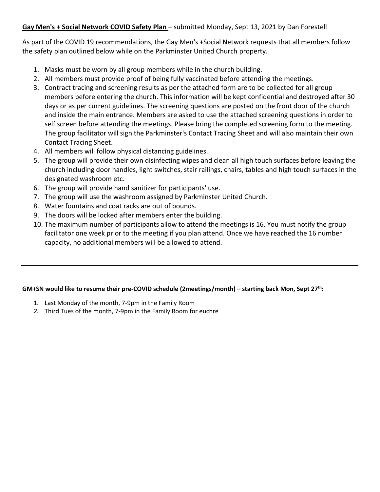## **Gay Men's + Social Network COVID Safety Plan** – submitted Monday, Sept 13, 2021 by Dan Forestell

As part of the COVID 19 recommendations, the Gay Men's +Social Network requests that all members follow the safety plan outlined below while on the Parkminster United Church property.

- 1. Masks must be worn by all group members while in the church building.
- 2. All members must provide proof of being fully vaccinated before attending the meetings.
- 3. Contract tracing and screening results as per the attached form are to be collected for all group members before entering the church. This information will be kept confidential and destroyed after 30 days or as per current guidelines. The screening questions are posted on the front door of the church and inside the main entrance. Members are asked to use the attached screening questions in order to self screen before attending the meetings. Please bring the completed screening form to the meeting. The group facilitator will sign the Parkminster's Contact Tracing Sheet and will also maintain their own Contact Tracing Sheet.
- 4. All members will follow physical distancing guidelines.
- 5. The group will provide their own disinfecting wipes and clean all high touch surfaces before leaving the church including door handles, light switches, stair railings, chairs, tables and high touch surfaces in the designated washroom etc.
- 6. The group will provide hand sanitizer for participants' use.
- 7. The group will use the washroom assigned by Parkminster United Church.
- 8. Water fountains and coat racks are out of bounds.
- 9. The doors will be locked after members enter the building.
- 10. The maximum number of participants allow to attend the meetings is 16. You must notify the group facilitator one week prior to the meeting if you plan attend. Once we have reached the 16 number capacity, no additional members will be allowed to attend.

#### **GM+SN would like to resume their pre-COVID schedule (2meetings/month) – starting back Mon, Sept 27th:**

- 1. Last Monday of the month, 7-9pm in the Family Room
- *2.* Third Tues of the month, 7-9pm in the Family Room for euchre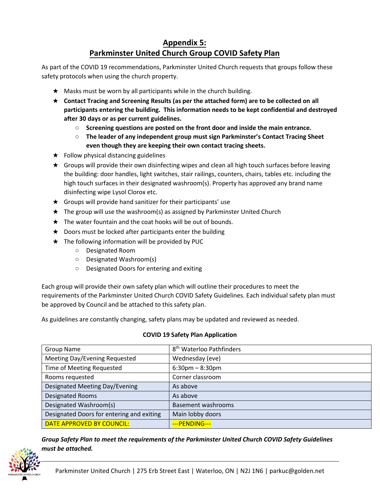# **Appendix 5: Parkminster United Church Group COVID Safety Plan**

As part of the COVID 19 recommendations, Parkminster United Church requests that groups follow these safety protocols when using the church property.

- ★ Masks must be worn by all participants while in the church building.
- ★ **Contact Tracing and Screening Results (as per the attached form) are to be collected on all participants entering the building. This information needs to be kept confidential and destroyed after 30 days or as per current guidelines.**
	- **Screening questions are posted on the front door and inside the main entrance.**
	- **The leader of any independent group must sign Parkminster's Contact Tracing Sheet even though they are keeping their own contact tracing sheets.**
- $\star$  Follow physical distancing guidelines
- $\star$  Groups will provide their own disinfecting wipes and clean all high touch surfaces before leaving the building: door handles, light switches, stair railings, counters, chairs, tables etc. including the high touch surfaces in their designated washroom(s). Property has approved any brand name disinfecting wipe Lysol Clorox etc.
- $\star$  Groups will provide hand sanitizer for their participants' use
- ★ The group will use the washroom(s) as assigned by Parkminster United Church
- $\star$  The water fountain and the coat hooks will be out of bounds.
- $\star$  Doors must be locked after participants enter the building
- $\star$  The following information will be provided by PUC
	- Designated Room
	- Designated Washroom(s)
	- Designated Doors for entering and exiting

Each group will provide their own safety plan which will outline their procedures to meet the requirements of the Parkminster United Church COVID Safety Guidelines. Each individual safety plan must be approved by Council and be attached to this safety plan.

As guidelines are constantly changing, safety plans may be updated and reviewed as needed.

| <b>Group Name</b>                         | 8 <sup>th</sup> Waterloo Pathfinders |
|-------------------------------------------|--------------------------------------|
| Meeting Day/Evening Requested             | Wednesday (eve)                      |
| Time of Meeting Requested                 | $6:30$ pm $-8:30$ pm                 |
| Rooms requested                           | Corner classroom                     |
| Designated Meeting Day/Evening            | As above                             |
| <b>Designated Rooms</b>                   | As above                             |
| Designated Washroom(s)                    | Basement washrooms                   |
| Designated Doors for entering and exiting | Main lobby doors                     |
| DATE APPROVED BY COUNCIL:                 | --- PENDING---                       |

#### **COVID 19 Safety Plan Application**

*Group Safety Plan to meet the requirements of the Parkminster United Church COVID Safety Guidelines must be attached.*